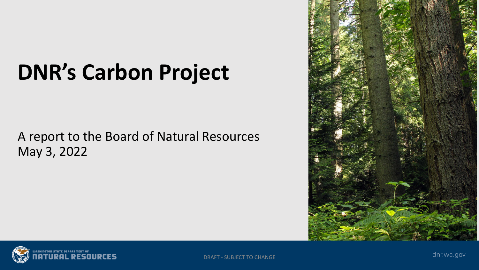# **DNR's Carbon Project**

A report to the Board of Natural Resources May 3, 2022





DRAFT - SUBJECT TO CHANGE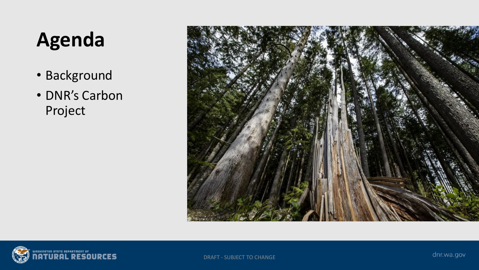# **Agenda**

- Background
- DNR's Carbon Project



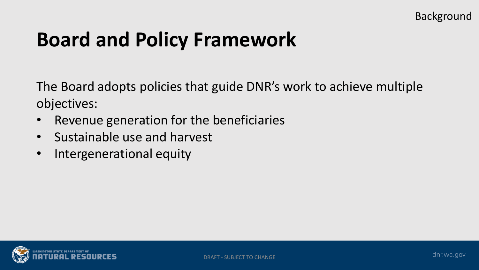## **Board and Policy Framework**

The Board adopts policies that guide DNR's work to achieve multiple objectives:

- Revenue generation for the beneficiaries
- Sustainable use and harvest
- Intergenerational equity

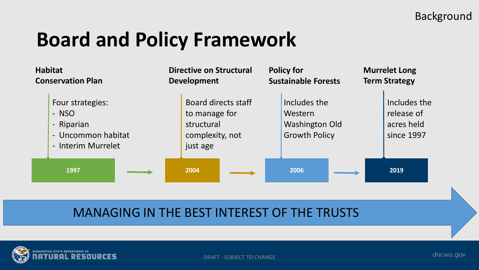## **Board and Policy Framework**



#### MANAGING IN THE BEST INTEREST OF THE TRUSTS

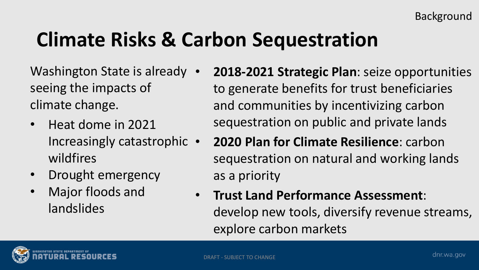# **Climate Risks & Carbon Sequestration**

Washington State is already • seeing the impacts of climate change.

- Heat dome in 2021 Increasingly catastrophic • wildfires
- Drought emergency
- Major floods and landslides
- **2018-2021 Strategic Plan**: seize opportunities to generate benefits for trust beneficiaries and communities by incentivizing carbon sequestration on public and private lands
- **2020 Plan for Climate Resilience**: carbon sequestration on natural and working lands as a priority
- **Trust Land Performance Assessment**: develop new tools, diversify revenue streams, explore carbon markets

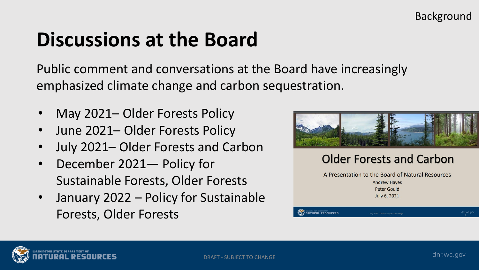## **Discussions at the Board**

Public comment and conversations at the Board have increasingly emphasized climate change and carbon sequestration.

- May 2021– Older Forests Policy
- June 2021– Older Forests Policy
- July 2021– Older Forests and Carbon
- December 2021— Policy for Sustainable Forests, Older Forests
- January 2022 Policy for Sustainable Forests, Older Forests



#### **Older Forests and Carbon**

A Presentation to the Board of Natural Resources **Andrew Haves Peter Gould** July 6, 2021

uly 2021 Draft - subject to change

**NATURAL RESOURCES** 

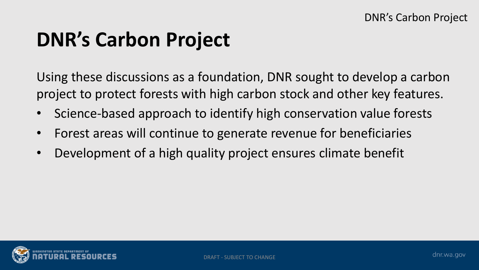## **DNR's Carbon Project**

Using these discussions as a foundation, DNR sought to develop a carbon project to protect forests with high carbon stock and other key features.

- Science-based approach to identify high conservation value forests
- Forest areas will continue to generate revenue for beneficiaries
- Development of a high quality project ensures climate benefit

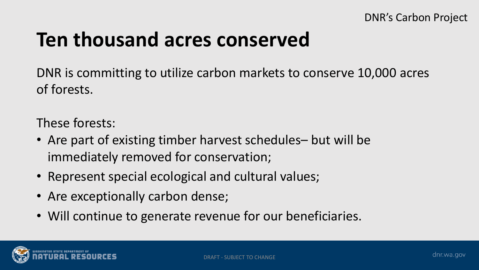#### **Ten thousand acres conserved**

DNR is committing to utilize carbon markets to conserve 10,000 acres of forests.

These forests:

- Are part of existing timber harvest schedules– but will be immediately removed for conservation;
- Represent special ecological and cultural values;
- Are exceptionally carbon dense;
- Will continue to generate revenue for our beneficiaries.

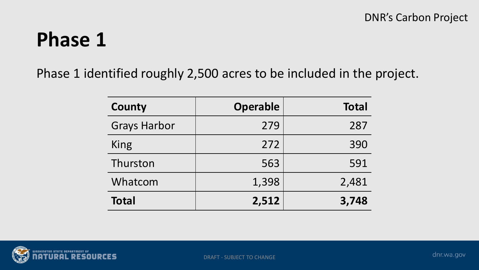### **Phase 1**

Phase 1 identified roughly 2,500 acres to be included in the project.

| County              | <b>Operable</b> | <b>Total</b> |
|---------------------|-----------------|--------------|
| <b>Grays Harbor</b> | 279             | 287          |
| King                | 272             | 390          |
| Thurston            | 563             | 591          |
| Whatcom             | 1,398           | 2,481        |
| <b>Total</b>        | 2,512           | 3,748        |

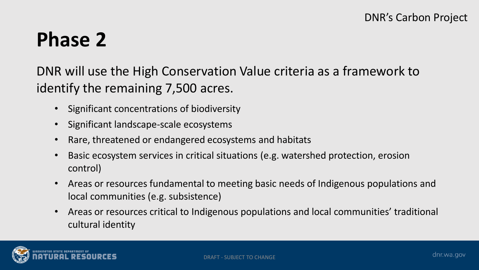### **Phase 2**

DNR will use the High Conservation Value criteria as a framework to identify the remaining 7,500 acres.

- Significant concentrations of biodiversity
- Significant landscape-scale ecosystems
- Rare, threatened or endangered ecosystems and habitats
- Basic ecosystem services in critical situations (e.g. watershed protection, erosion control)
- Areas or resources fundamental to meeting basic needs of Indigenous populations and local communities (e.g. subsistence)
- Areas or resources critical to Indigenous populations and local communities' traditional cultural identity

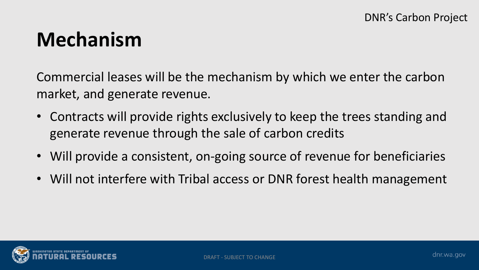#### **Mechanism**

Commercial leases will be the mechanism by which we enter the carbon market, and generate revenue.

- Contracts will provide rights exclusively to keep the trees standing and generate revenue through the sale of carbon credits
- Will provide a consistent, on-going source of revenue for beneficiaries
- Will not interfere with Tribal access or DNR forest health management

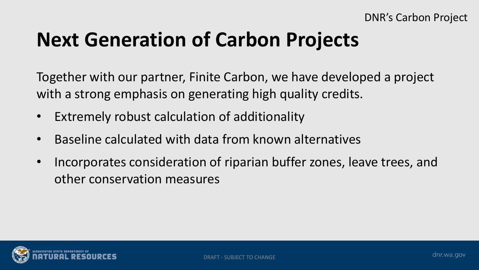# **Next Generation of Carbon Projects**

Together with our partner, Finite Carbon, we have developed a project with a strong emphasis on generating high quality credits.

- Extremely robust calculation of additionality
- Baseline calculated with data from known alternatives
- Incorporates consideration of riparian buffer zones, leave trees, and other conservation measures

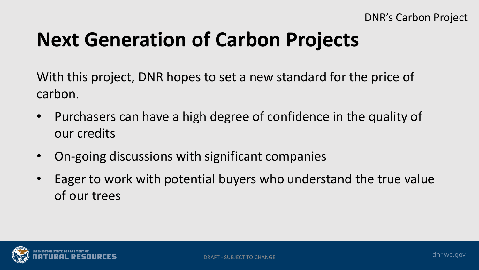# **Next Generation of Carbon Projects**

With this project, DNR hopes to set a new standard for the price of carbon.

- Purchasers can have a high degree of confidence in the quality of our credits
- On-going discussions with significant companies
- Eager to work with potential buyers who understand the true value of our trees

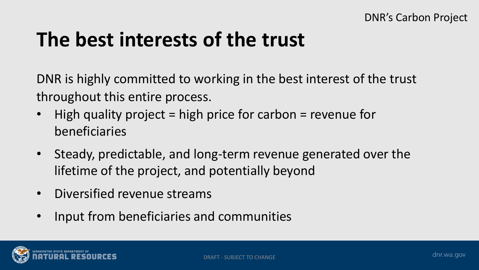## **The best interests of the trust**

DNR is highly committed to working in the best interest of the trust throughout this entire process.

- High quality project = high price for carbon = revenue for beneficiaries
- Steady, predictable, and long-term revenue generated over the lifetime of the project, and potentially beyond
- Diversified revenue streams
- Input from beneficiaries and communities

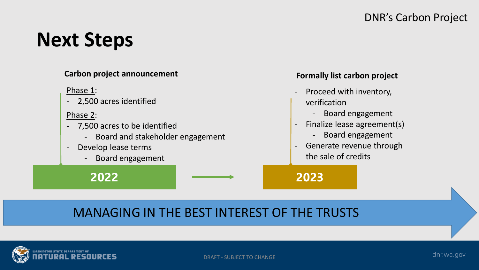#### DNR's Carbon Project

#### **Next Steps**



#### MANAGING IN THE BEST INTEREST OF THE TRUSTS